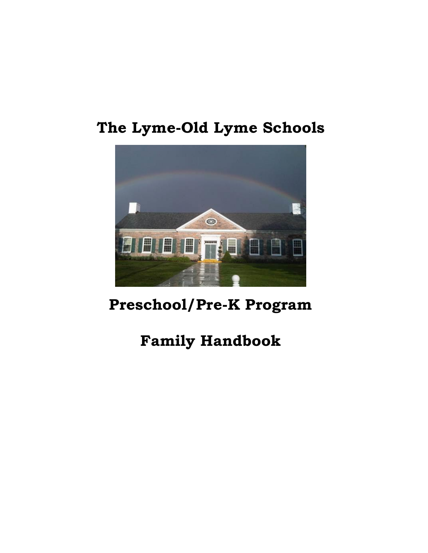# **The Lyme-Old Lyme Schools**



# **Preschool/Pre-K Program**

# **Family Handbook**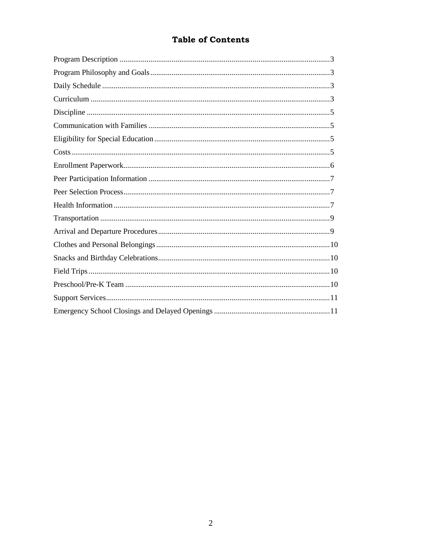# **Table of Contents**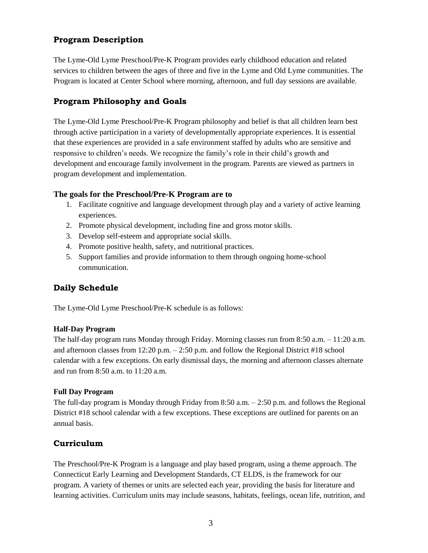## **Program Description**

The Lyme-Old Lyme Preschool/Pre-K Program provides early childhood education and related services to children between the ages of three and five in the Lyme and Old Lyme communities. The Program is located at Center School where morning, afternoon, and full day sessions are available.

## **Program Philosophy and Goals**

The Lyme-Old Lyme Preschool/Pre-K Program philosophy and belief is that all children learn best through active participation in a variety of developmentally appropriate experiences. It is essential that these experiences are provided in a safe environment staffed by adults who are sensitive and responsive to children's needs. We recognize the family's role in their child's growth and development and encourage family involvement in the program. Parents are viewed as partners in program development and implementation.

## **The goals for the Preschool/Pre-K Program are to**

- 1. Facilitate cognitive and language development through play and a variety of active learning experiences.
- 2. Promote physical development, including fine and gross motor skills.
- 3. Develop self-esteem and appropriate social skills.
- 4. Promote positive health, safety, and nutritional practices.
- 5. Support families and provide information to them through ongoing home-school communication.

# **Daily Schedule**

The Lyme-Old Lyme Preschool/Pre-K schedule is as follows:

## **Half-Day Program**

The half-day program runs Monday through Friday. Morning classes run from 8:50 a.m. – 11:20 a.m. and afternoon classes from 12:20 p.m. – 2:50 p.m. and follow the Regional District #18 school calendar with a few exceptions. On early dismissal days, the morning and afternoon classes alternate and run from 8:50 a.m. to 11:20 a.m.

#### **Full Day Program**

The full-day program is Monday through Friday from 8:50 a.m. – 2:50 p.m. and follows the Regional District #18 school calendar with a few exceptions. These exceptions are outlined for parents on an annual basis.

## **Curriculum**

The Preschool/Pre-K Program is a language and play based program, using a theme approach. The Connecticut Early Learning and Development Standards, CT ELDS, is the framework for our program. A variety of themes or units are selected each year, providing the basis for literature and learning activities. Curriculum units may include seasons, habitats, feelings, ocean life, nutrition, and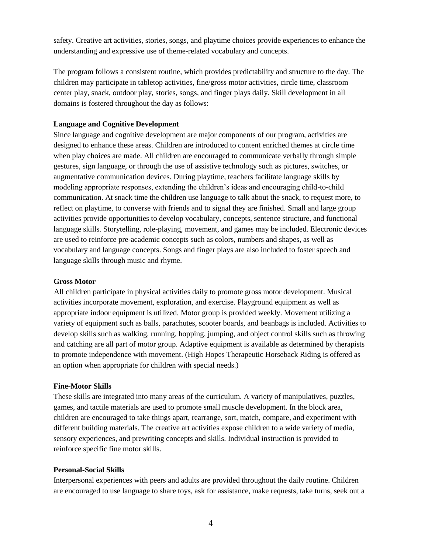safety. Creative art activities, stories, songs, and playtime choices provide experiences to enhance the understanding and expressive use of theme-related vocabulary and concepts.

The program follows a consistent routine, which provides predictability and structure to the day. The children may participate in tabletop activities, fine/gross motor activities, circle time, classroom center play, snack, outdoor play, stories, songs, and finger plays daily. Skill development in all domains is fostered throughout the day as follows:

#### **Language and Cognitive Development**

Since language and cognitive development are major components of our program, activities are designed to enhance these areas. Children are introduced to content enriched themes at circle time when play choices are made. All children are encouraged to communicate verbally through simple gestures, sign language, or through the use of assistive technology such as pictures, switches, or augmentative communication devices. During playtime, teachers facilitate language skills by modeling appropriate responses, extending the children's ideas and encouraging child-to-child communication. At snack time the children use language to talk about the snack, to request more, to reflect on playtime, to converse with friends and to signal they are finished. Small and large group activities provide opportunities to develop vocabulary, concepts, sentence structure, and functional language skills. Storytelling, role-playing, movement, and games may be included. Electronic devices are used to reinforce pre-academic concepts such as colors, numbers and shapes, as well as vocabulary and language concepts. Songs and finger plays are also included to foster speech and language skills through music and rhyme.

#### **Gross Motor**

All children participate in physical activities daily to promote gross motor development. Musical activities incorporate movement, exploration, and exercise. Playground equipment as well as appropriate indoor equipment is utilized. Motor group is provided weekly. Movement utilizing a variety of equipment such as balls, parachutes, scooter boards, and beanbags is included. Activities to develop skills such as walking, running, hopping, jumping, and object control skills such as throwing and catching are all part of motor group. Adaptive equipment is available as determined by therapists to promote independence with movement. (High Hopes Therapeutic Horseback Riding is offered as an option when appropriate for children with special needs.)

#### **Fine-Motor Skills**

These skills are integrated into many areas of the curriculum. A variety of manipulatives, puzzles, games, and tactile materials are used to promote small muscle development. In the block area, children are encouraged to take things apart, rearrange, sort, match, compare, and experiment with different building materials. The creative art activities expose children to a wide variety of media, sensory experiences, and prewriting concepts and skills. Individual instruction is provided to reinforce specific fine motor skills.

#### **Personal-Social Skills**

Interpersonal experiences with peers and adults are provided throughout the daily routine. Children are encouraged to use language to share toys, ask for assistance, make requests, take turns, seek out a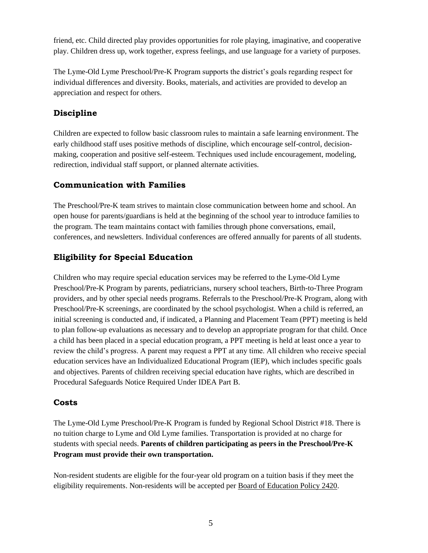friend, etc. Child directed play provides opportunities for role playing, imaginative, and cooperative play. Children dress up, work together, express feelings, and use language for a variety of purposes.

The Lyme-Old Lyme Preschool/Pre-K Program supports the district's goals regarding respect for individual differences and diversity. Books, materials, and activities are provided to develop an appreciation and respect for others.

## **Discipline**

Children are expected to follow basic classroom rules to maintain a safe learning environment. The early childhood staff uses positive methods of discipline, which encourage self-control, decisionmaking, cooperation and positive self-esteem. Techniques used include encouragement, modeling, redirection, individual staff support, or planned alternate activities.

## **Communication with Families**

The Preschool/Pre-K team strives to maintain close communication between home and school. An open house for parents/guardians is held at the beginning of the school year to introduce families to the program. The team maintains contact with families through phone conversations, email, conferences, and newsletters. Individual conferences are offered annually for parents of all students.

# **Eligibility for Special Education**

Children who may require special education services may be referred to the Lyme-Old Lyme Preschool/Pre-K Program by parents, pediatricians, nursery school teachers, Birth-to-Three Program providers, and by other special needs programs. Referrals to the Preschool/Pre-K Program, along with Preschool/Pre-K screenings, are coordinated by the school psychologist. When a child is referred, an initial screening is conducted and, if indicated, a Planning and Placement Team (PPT) meeting is held to plan follow-up evaluations as necessary and to develop an appropriate program for that child. Once a child has been placed in a special education program, a PPT meeting is held at least once a year to review the child's progress. A parent may request a PPT at any time. All children who receive special education services have an Individualized Educational Program (IEP), which includes specific goals and objectives. Parents of children receiving special education have rights, which are described in Procedural Safeguards Notice Required Under IDEA Part B.

# **Costs**

The Lyme-Old Lyme Preschool/Pre-K Program is funded by Regional School District #18. There is no tuition charge to Lyme and Old Lyme families. Transportation is provided at no charge for students with special needs. **Parents of children participating as peers in the Preschool/Pre-K Program must provide their own transportation.**

Non-resident students are eligible for the four-year old program on a tuition basis if they meet the eligibility requirements. Non-residents will be accepted per [Board of Education Policy 2420.](http://z2policy.cabe.org/cabe/Z2Browser2.html?showset=region18)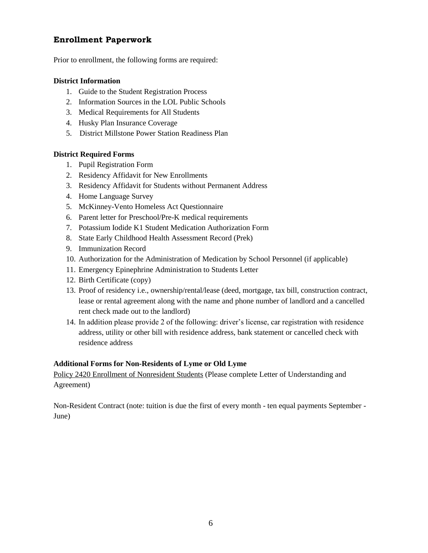## **Enrollment Paperwork**

Prior to enrollment, the following forms are required:

## **District Information**

- 1. Guide to the Student Registration Process
- 2. Information Sources in the LOL Public Schools
- 3. Medical Requirements for All Students
- 4. Husky Plan Insurance Coverage
- 5. District Millstone Power Station Readiness Plan

### **District Required Forms**

- 1. Pupil Registration Form
- 2. Residency Affidavit for New Enrollments
- 3. Residency Affidavit for Students without Permanent Address
- 4. Home Language Survey
- 5. McKinney-Vento Homeless Act Questionnaire
- 6. Parent letter for Preschool/Pre-K medical requirements
- 7. Potassium Iodide K1 Student Medication Authorization Form
- 8. State Early Childhood Health Assessment Record (Prek)
- 9. Immunization Record
- 10. Authorization for the Administration of Medication by School Personnel (if applicable)
- 11. Emergency Epinephrine Administration to Students Letter
- 12. Birth Certificate (copy)
- 13. Proof of residency i.e., ownership/rental/lease (deed, mortgage, tax bill, construction contract, lease or rental agreement along with the name and phone number of landlord and a cancelled rent check made out to the landlord)
- 14. In addition please provide 2 of the following: driver's license, car registration with residence address, utility or other bill with residence address, bank statement or cancelled check with residence address

#### **Additional Forms for Non-Residents of Lyme or Old Lyme**

[Policy 2420 Enrollment of Nonresident Students](https://www.region18.org/uploaded/forms/Policy_2420_Enrollment_of_Nonresident_Students.pdf) (Please complete Letter of Understanding and Agreement)

Non-Resident Contract (note: tuition is due the first of every month - ten equal payments September - June)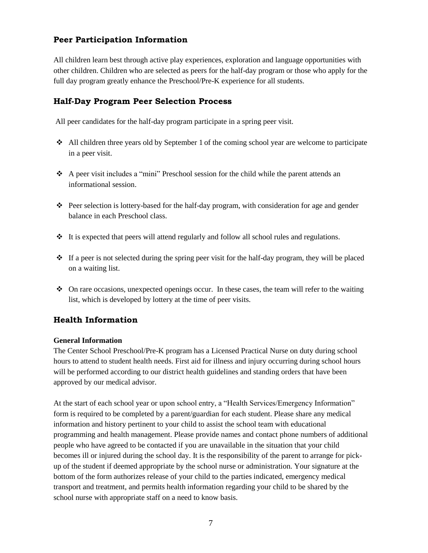## **Peer Participation Information**

All children learn best through active play experiences, exploration and language opportunities with other children. Children who are selected as peers for the half-day program or those who apply for the full day program greatly enhance the Preschool/Pre-K experience for all students.

## **Half-Day Program Peer Selection Process**

All peer candidates for the half-day program participate in a spring peer visit.

- All children three years old by September 1 of the coming school year are welcome to participate in a peer visit.
- A peer visit includes a "mini" Preschool session for the child while the parent attends an informational session.
- $\bullet$  Peer selection is lottery-based for the half-day program, with consideration for age and gender balance in each Preschool class.
- $\div$  It is expected that peers will attend regularly and follow all school rules and regulations.
- $\cdot \cdot$  If a peer is not selected during the spring peer visit for the half-day program, they will be placed on a waiting list.
- $\bullet$  On rare occasions, unexpected openings occur. In these cases, the team will refer to the waiting list, which is developed by lottery at the time of peer visits.

# **Health Information**

#### **General Information**

The Center School Preschool/Pre-K program has a Licensed Practical Nurse on duty during school hours to attend to student health needs. First aid for illness and injury occurring during school hours will be performed according to our district health guidelines and standing orders that have been approved by our medical advisor.

At the start of each school year or upon school entry, a "Health Services/Emergency Information" form is required to be completed by a parent/guardian for each student. Please share any medical information and history pertinent to your child to assist the school team with educational programming and health management. Please provide names and contact phone numbers of additional people who have agreed to be contacted if you are unavailable in the situation that your child becomes ill or injured during the school day. It is the responsibility of the parent to arrange for pickup of the student if deemed appropriate by the school nurse or administration. Your signature at the bottom of the form authorizes release of your child to the parties indicated, emergency medical transport and treatment, and permits health information regarding your child to be shared by the school nurse with appropriate staff on a need to know basis.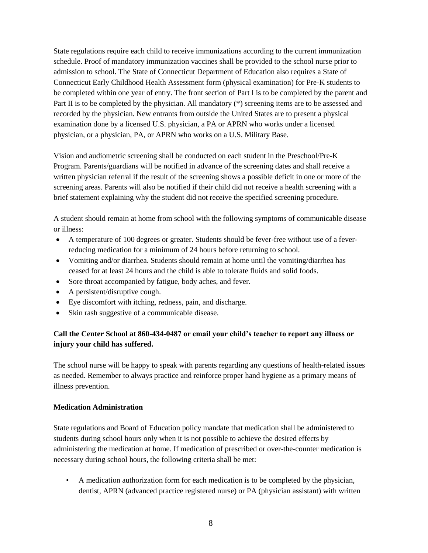State regulations require each child to receive immunizations according to the current immunization schedule. Proof of mandatory immunization vaccines shall be provided to the school nurse prior to admission to school. The State of Connecticut Department of Education also requires a State of Connecticut Early Childhood Health Assessment form (physical examination) for Pre-K students to be completed within one year of entry. The front section of Part I is to be completed by the parent and Part II is to be completed by the physician. All mandatory (\*) screening items are to be assessed and recorded by the physician. New entrants from outside the United States are to present a physical examination done by a licensed U.S. physician, a PA or APRN who works under a licensed physician, or a physician, PA, or APRN who works on a U.S. Military Base.

Vision and audiometric screening shall be conducted on each student in the Preschool/Pre-K Program. Parents/guardians will be notified in advance of the screening dates and shall receive a written physician referral if the result of the screening shows a possible deficit in one or more of the screening areas. Parents will also be notified if their child did not receive a health screening with a brief statement explaining why the student did not receive the specified screening procedure.

A student should remain at home from school with the following symptoms of communicable disease or illness:

- A temperature of 100 degrees or greater. Students should be fever-free without use of a feverreducing medication for a minimum of 24 hours before returning to school.
- Vomiting and/or diarrhea. Students should remain at home until the vomiting/diarrhea has ceased for at least 24 hours and the child is able to tolerate fluids and solid foods.
- Sore throat accompanied by fatigue, body aches, and fever.
- A persistent/disruptive cough.
- Eye discomfort with itching, redness, pain, and discharge.
- Skin rash suggestive of a communicable disease.

## **Call the Center School at 860-434-0487 or email your child's teacher to report any illness or injury your child has suffered.**

The school nurse will be happy to speak with parents regarding any questions of health-related issues as needed. Remember to always practice and reinforce proper hand hygiene as a primary means of illness prevention.

## **Medication Administration**

State regulations and Board of Education policy mandate that medication shall be administered to students during school hours only when it is not possible to achieve the desired effects by administering the medication at home. If medication of prescribed or over-the-counter medication is necessary during school hours, the following criteria shall be met:

• A medication authorization form for each medication is to be completed by the physician, dentist, APRN (advanced practice registered nurse) or PA (physician assistant) with written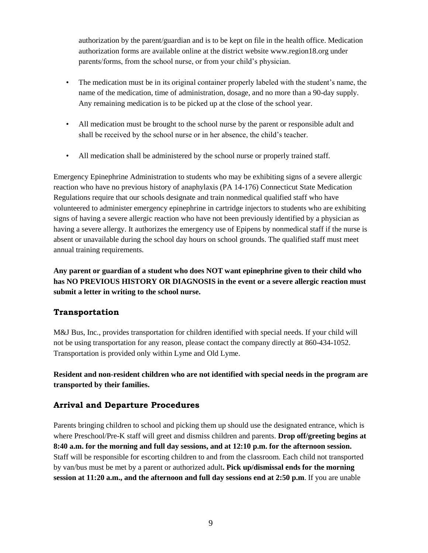authorization by the parent/guardian and is to be kept on file in the health office. Medication authorization forms are available online at the district website www.region18.org under parents/forms, from the school nurse, or from your child's physician.

- The medication must be in its original container properly labeled with the student's name, the name of the medication, time of administration, dosage, and no more than a 90-day supply. Any remaining medication is to be picked up at the close of the school year.
- All medication must be brought to the school nurse by the parent or responsible adult and shall be received by the school nurse or in her absence, the child's teacher.
- All medication shall be administered by the school nurse or properly trained staff.

Emergency Epinephrine Administration to students who may be exhibiting signs of a severe allergic reaction who have no previous history of anaphylaxis (PA 14-176) Connecticut State Medication Regulations require that our schools designate and train nonmedical qualified staff who have volunteered to administer emergency epinephrine in cartridge injectors to students who are exhibiting signs of having a severe allergic reaction who have not been previously identified by a physician as having a severe allergy. It authorizes the emergency use of Epipens by nonmedical staff if the nurse is absent or unavailable during the school day hours on school grounds. The qualified staff must meet annual training requirements.

**Any parent or guardian of a student who does NOT want epinephrine given to their child who has NO PREVIOUS HISTORY OR DIAGNOSIS in the event or a severe allergic reaction must submit a letter in writing to the school nurse.** 

# **Transportation**

M&J Bus, Inc., provides transportation for children identified with special needs. If your child will not be using transportation for any reason, please contact the company directly at 860-434-1052. Transportation is provided only within Lyme and Old Lyme.

**Resident and non-resident children who are not identified with special needs in the program are transported by their families.** 

# **Arrival and Departure Procedures**

Parents bringing children to school and picking them up should use the designated entrance, which is where Preschool/Pre-K staff will greet and dismiss children and parents. **Drop off/greeting begins at 8:40 a.m. for the morning and full day sessions, and at 12:10 p.m. for the afternoon session.**  Staff will be responsible for escorting children to and from the classroom. Each child not transported by van/bus must be met by a parent or authorized adult**. Pick up/dismissal ends for the morning session at 11:20 a.m., and the afternoon and full day sessions end at 2:50 p.m**. If you are unable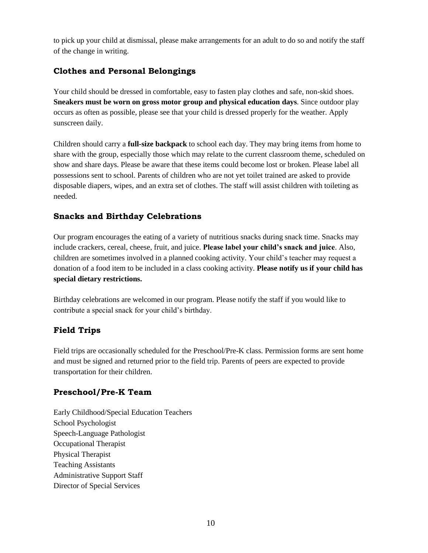to pick up your child at dismissal, please make arrangements for an adult to do so and notify the staff of the change in writing.

# **Clothes and Personal Belongings**

Your child should be dressed in comfortable, easy to fasten play clothes and safe, non-skid shoes. **Sneakers must be worn on gross motor group and physical education days**. Since outdoor play occurs as often as possible, please see that your child is dressed properly for the weather. Apply sunscreen daily.

Children should carry a **full-size backpack** to school each day. They may bring items from home to share with the group, especially those which may relate to the current classroom theme, scheduled on show and share days. Please be aware that these items could become lost or broken. Please label all possessions sent to school. Parents of children who are not yet toilet trained are asked to provide disposable diapers, wipes, and an extra set of clothes. The staff will assist children with toileting as needed.

## **Snacks and Birthday Celebrations**

Our program encourages the eating of a variety of nutritious snacks during snack time. Snacks may include crackers, cereal, cheese, fruit, and juice. **Please label your child's snack and juice**. Also, children are sometimes involved in a planned cooking activity. Your child's teacher may request a donation of a food item to be included in a class cooking activity. **Please notify us if your child has special dietary restrictions.**

Birthday celebrations are welcomed in our program. Please notify the staff if you would like to contribute a special snack for your child's birthday.

# **Field Trips**

Field trips are occasionally scheduled for the Preschool/Pre-K class. Permission forms are sent home and must be signed and returned prior to the field trip. Parents of peers are expected to provide transportation for their children.

## **Preschool/Pre-K Team**

Early Childhood/Special Education Teachers School Psychologist Speech-Language Pathologist Occupational Therapist Physical Therapist Teaching Assistants Administrative Support Staff Director of Special Services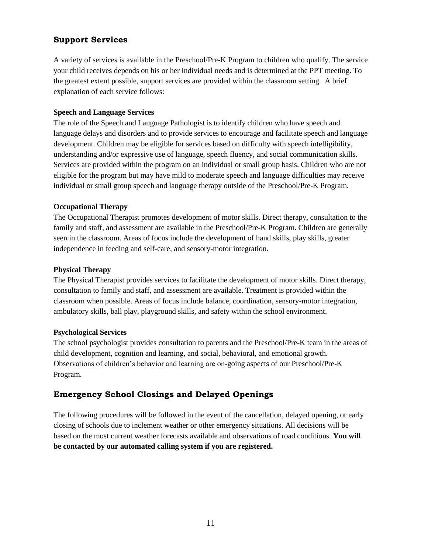## **Support Services**

A variety of services is available in the Preschool/Pre-K Program to children who qualify. The service your child receives depends on his or her individual needs and is determined at the PPT meeting. To the greatest extent possible, support services are provided within the classroom setting. A brief explanation of each service follows:

### **Speech and Language Services**

The role of the Speech and Language Pathologist is to identify children who have speech and language delays and disorders and to provide services to encourage and facilitate speech and language development. Children may be eligible for services based on difficulty with speech intelligibility, understanding and/or expressive use of language, speech fluency, and social communication skills. Services are provided within the program on an individual or small group basis. Children who are not eligible for the program but may have mild to moderate speech and language difficulties may receive individual or small group speech and language therapy outside of the Preschool/Pre-K Program.

### **Occupational Therapy**

The Occupational Therapist promotes development of motor skills. Direct therapy, consultation to the family and staff, and assessment are available in the Preschool/Pre-K Program. Children are generally seen in the classroom. Areas of focus include the development of hand skills, play skills, greater independence in feeding and self-care, and sensory-motor integration.

#### **Physical Therapy**

The Physical Therapist provides services to facilitate the development of motor skills. Direct therapy, consultation to family and staff, and assessment are available. Treatment is provided within the classroom when possible. Areas of focus include balance, coordination, sensory-motor integration, ambulatory skills, ball play, playground skills, and safety within the school environment.

#### **Psychological Services**

The school psychologist provides consultation to parents and the Preschool/Pre-K team in the areas of child development, cognition and learning, and social, behavioral, and emotional growth. Observations of children's behavior and learning are on-going aspects of our Preschool/Pre-K Program.

# **Emergency School Closings and Delayed Openings**

The following procedures will be followed in the event of the cancellation, delayed opening, or early closing of schools due to inclement weather or other emergency situations. All decisions will be based on the most current weather forecasts available and observations of road conditions. **You will be contacted by our automated calling system if you are registered.**